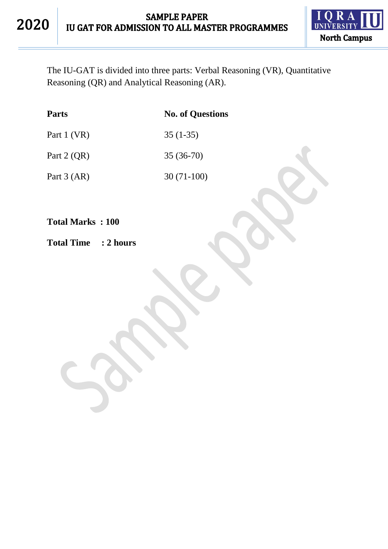

The IU-GAT is divided into three parts: Verbal Reasoning (VR), Quantitative Reasoning (QR) and Analytical Reasoning (AR).

| <b>Parts</b>  | <b>No. of Questions</b> |
|---------------|-------------------------|
| Part 1 (VR)   | $35(1-35)$              |
| Part $2$ (QR) | $35(36-70)$             |
| Part $3 (AR)$ | $30(71-100)$            |

**Total Marks : 100**

**Total Time : 2 hours**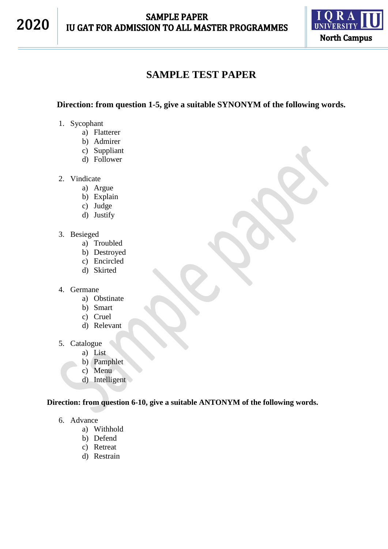

# **SAMPLE TEST PAPER**

### **Direction: from question 1-5, give a suitable SYNONYM of the following words.**

- 1. Sycophant
	- a) Flatterer
	- b) Admirer
	- c) Suppliant
	- d) Follower
- 2. Vindicate
	- a) Argue
		- b) Explain
		- c) Judge
	- d) Justify
- 3. Besieged
	- a) Troubled
	- b) Destroyed
	- c) Encircled
	- d) Skirted
- 4. Germane
	- a) Obstinate
	- b) Smart
	- c) Cruel
	- d) Relevant
- 5. Catalogue
	- a) List
	- b) Pamphlet
	- c) Menu
	- d) Intelligent

#### **Direction: from question 6-10, give a suitable ANTONYM of the following words.**

- 6. Advance
	- a) Withhold
	- b) Defend
	- c) Retreat
	- d) Restrain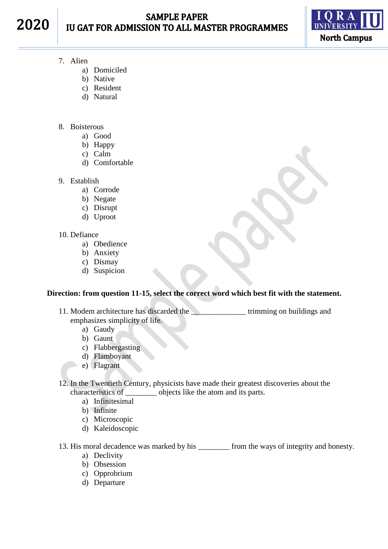2020



- 7. Alien
	- a) Domiciled
	- b) Native
	- c) Resident
	- d) Natural
- 8. Boisterous
	- a) Good
	- b) Happy
	- c) Calm
	- d) Comfortable
- 9. Establish
	- a) Corrode
	- b) Negate
	- c) Disrupt
	- d) Uproot
- 10. Defiance
	- a) Obedience
	- b) Anxiety
	- c) Dismay
	- d) Suspicion

#### **Direction: from question 11-15, select the correct word which best fit with the statement.**

- 11. Modem architecture has discarded the **with the contract of the contract of the contract of the contract of the contract of the contract of the contract of the contract of the contract of the contract of the contract of** emphasizes simplicity of life.
	- a) Gaudy
	- b) Gaunt
	- c) Flabbergasting
	- d) Flamboyant
	- e) Flagrant
- 12. In the Twentieth Century, physicists have made their greatest discoveries about the characteristics of \_\_\_\_\_\_\_\_ objects like the atom and its parts.
	- a) Infinitesimal
	- b) Infinite
	- c) Microscopic
	- d) Kaleidoscopic
- 13. His moral decadence was marked by his \_\_\_\_\_\_\_\_ from the ways of integrity and honesty.
	- a) Declivity
	- b) Obsession
	- c) Opprobrium
	- d) Departure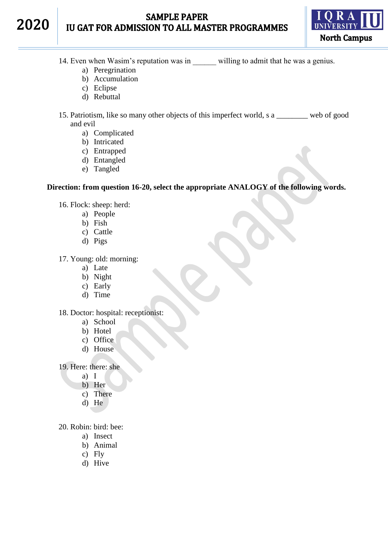## **SAMPLE PAPER** IU GAT FOR ADMISSION TO ALL MASTER PROGRAMMES



14. Even when Wasim's reputation was in willing to admit that he was a genius.

- a) Peregrination
- b) Accumulation
- c) Eclipse

2020

- d) Rebuttal
- 15. Patriotism, like so many other objects of this imperfect world, s a web of good and evil
	- a) Complicated
	- b) Intricated
	- c) Entrapped
	- d) Entangled
	- e) Tangled

#### **Direction: from question 16-20, select the appropriate ANALOGY of the following words.**

- 16. Flock: sheep: herd:
	- a) People
	- b) Fish
	- c) Cattle
	- d) Pigs

17. Young: old: morning:

- a) Late
- b) Night
- c) Early
- d) Time

18. Doctor: hospital: receptionist:

- a) School
- b) Hotel
- c) Office
- d) House

19. Here: there: she

- a) I
- b) Her
- c) There
- d) He

20. Robin: bird: bee:

- a) Insect
- b) Animal
- c) Fly
- d) Hive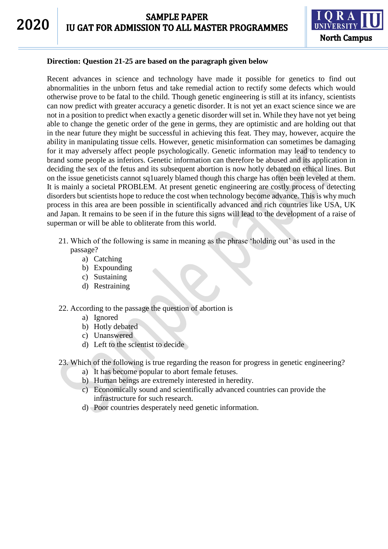

#### **Direction: Question 21-25 are based on the paragraph given below**

Recent advances in science and technology have made it possible for genetics to find out abnormalities in the unborn fetus and take remedial action to rectify some defects which would otherwise prove to be fatal to the child. Though genetic engineering is still at its infancy, scientists can now predict with greater accuracy a genetic disorder. It is not yet an exact science since we are not in a position to predict when exactly a genetic disorder will set in. While they have not yet being able to change the genetic order of the gene in germs, they are optimistic and are holding out that in the near future they might be successful in achieving this feat. They may, however, acquire the ability in manipulating tissue cells. However, genetic misinformation can sometimes be damaging for it may adversely affect people psychologically. Genetic information may lead to tendency to brand some people as inferiors. Genetic information can therefore be abused and its application in deciding the sex of the fetus and its subsequent abortion is now hotly debated on ethical lines. But on the issue geneticists cannot sq1uarely blamed though this charge has often been leveled at them. It is mainly a societal PROBLEM. At present genetic engineering are costly process of detecting disorders but scientists hope to reduce the cost when technology become advance. This is why much process in this area are been possible in scientifically advanced and rich countries like USA, UK and Japan. It remains to be seen if in the future this signs will lead to the development of a raise of superman or will be able to obliterate from this world.

- 21. Which of the following is same in meaning as the phrase 'holding out' as used in the passage?
	- a) Catching
	- b) Expounding
	- c) Sustaining
	- d) Restraining
- 22. According to the passage the question of abortion is
	- a) Ignored
	- b) Hotly debated
	- c) Unanswered
	- d) Left to the scientist to decide
- 23. Which of the following is true regarding the reason for progress in genetic engineering?
	- a) It has become popular to abort female fetuses.
	- b) Human beings are extremely interested in heredity.
	- c) Economically sound and scientifically advanced countries can provide the infrastructure for such research.
	- d) Poor countries desperately need genetic information.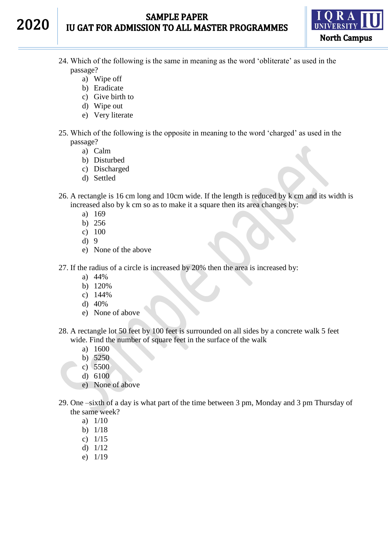## **SAMPLE PAPER IU GAT FOR ADMISSION TO ALL MASTER PROGRAMMES**



- 24. Which of the following is the same in meaning as the word 'obliterate' as used in the passage?
	- a) Wipe off

2020

- b) Eradicate
- c) Give birth to
- d) Wipe out
- e) Very literate
- 25. Which of the following is the opposite in meaning to the word 'charged' as used in the passage?
	- a) Calm
	- b) Disturbed
	- c) Discharged
	- d) Settled
- 26. A rectangle is 16 cm long and 10cm wide. If the length is reduced by k cm and its width is increased also by k cm so as to make it a square then its area changes by:
	- a) 169
	- b) 256
	- c) 100
	- d) 9
	- e) None of the above
- 27. If the radius of a circle is increased by 20% then the area is increased by:
	- a) 44%
	- b) 120%
	- c) 144%
	- d) 40%
	- e) None of above
- 28. A rectangle lot 50 feet by 100 feet is surrounded on all sides by a concrete walk 5 feet wide. Find the number of square feet in the surface of the walk
	- a) 1600
	- b) 5250
	- c) 5500
	- d) 6100
	- e) None of above
- 29. One –sixth of a day is what part of the time between 3 pm, Monday and 3 pm Thursday of the same week?
	- a) 1/10
	- b) 1/18
	- c) 1/15
	- d) 1/12
	- e) 1/19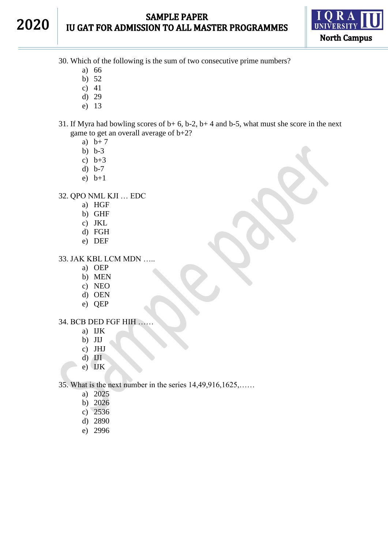# 2020

# **SAMPLE PAPER** IU GAT FOR ADMISSION TO ALL MASTER PROGRAMMES



30. Which of the following is the sum of two consecutive prime numbers?

- a) 66
- b) 52
- c) 41
- d) 29
- e) 13
- 31. If Myra had bowling scores of b+ 6, b-2, b+ 4 and b-5, what must she score in the next game to get an overall average of b+2?
	- a)  $b+7$
	- b) b-3
	- c)  $b+3$
	- d) b-7
	- e) b+1

32. QPO NML KJI … EDC

- a) HGF
- b) GHF
- c) JKL
- d) FGH
- e) DEF

33. JAK KBL LCM MDN …..

- a) OEP
- b) MEN
- c) NEO
- d) OEN
- e) QEP

#### 34. BCB DED FGF HIH ……

- a) IJK
- b) JIJ
- c) JHJ
- d) IJI
- e) IJK

35. What is the next number in the series 14,49,916,1625,……

- a) 2025
- b) 2026
- c) 2536
- d) 2890
- e) 2996